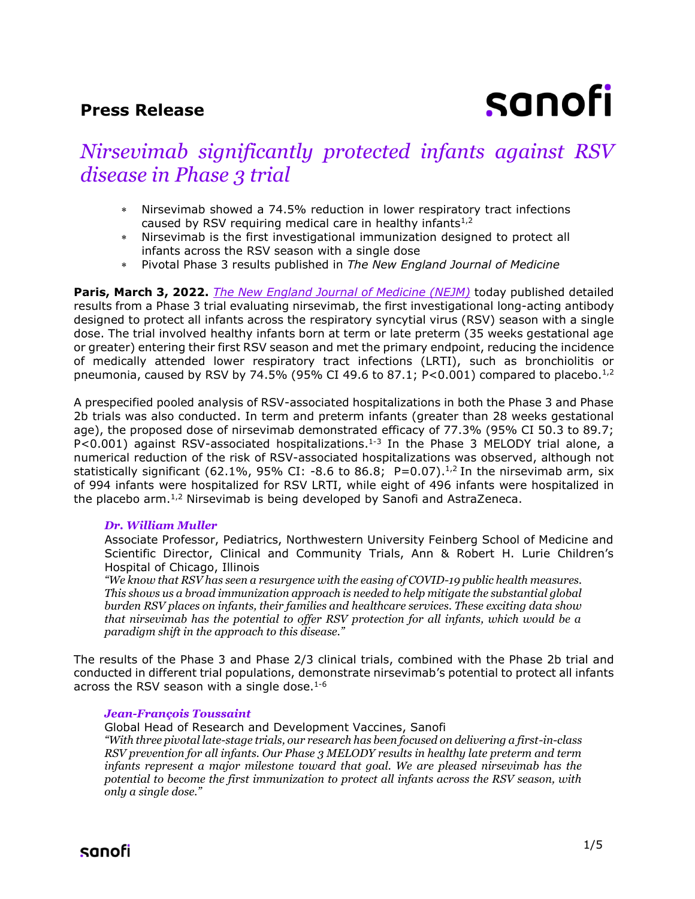# **Press Release**

# sanofi

# *Nirsevimab significantly protected infants against RSV disease in Phase 3 trial*

- Nirsevimab showed a 74.5% reduction in lower respiratory tract infections caused by RSV requiring medical care in healthy infants $1/2$
- Nirsevimab is the first investigational immunization designed to protect all infants across the RSV season with a single dose
- Pivotal Phase 3 results published in *The New England Journal of Medicine*

**Paris, March 3, 2022.** *The [New England Journal of Medicine \(NEJM\)](https://www.nejm.org/doi/full/10.1056/NEJMoa2110275?query=featured_home)* today published detailed results from a Phase 3 trial evaluating nirsevimab, the first investigational long-acting antibody designed to protect all infants across the respiratory syncytial virus (RSV) season with a single dose. The trial involved healthy infants born at term or late preterm (35 weeks gestational age or greater) entering their first RSV season and met the primary endpoint, reducing the incidence of medically attended lower respiratory tract infections (LRTI), such as bronchiolitis or pneumonia, caused by RSV by 74.5% (95% CI 49.6 to 87.1; P<0.001) compared to placebo.<sup>1,2</sup>

A prespecified pooled analysis of RSV-associated hospitalizations in both the Phase 3 and Phase 2b trials was also conducted. In term and preterm infants (greater than 28 weeks gestational age), the proposed dose of nirsevimab demonstrated efficacy of 77.3% (95% CI 50.3 to 89.7; P<0.001) against RSV-associated hospitalizations.<sup>1-3</sup> In the Phase 3 MELODY trial alone, a numerical reduction of the risk of RSV-associated hospitalizations was observed, although not statistically significant (62.1%, 95% CI: -8.6 to 86.8; P=0.07).<sup>1,2</sup> In the nirsevimab arm, six of 994 infants were hospitalized for RSV LRTI, while eight of 496 infants were hospitalized in the placebo arm.<sup>1,2</sup> Nirsevimab is being developed by Sanofi and AstraZeneca.

#### *Dr. William Muller*

Associate Professor, Pediatrics, Northwestern University Feinberg School of Medicine and Scientific Director, Clinical and Community Trials, Ann & Robert H. Lurie Children's Hospital of Chicago, Illinois

*"We know that RSV has seen a resurgence with the easing of COVID-19 public health measures. This shows us a broad immunization approach is needed to help mitigate the substantial global burden RSV places on infants, their families and healthcare services. These exciting data show that nirsevimab has the potential to offer RSV protection for all infants, which would be a paradigm shift in the approach to this disease."*

The results of the Phase 3 and Phase 2/3 clinical trials, combined with the Phase 2b trial and conducted in different trial populations, demonstrate nirsevimab's potential to protect all infants across the RSV season with a single dose. $1-6$ 

#### *Jean-François Toussaint*

Global Head of Research and Development Vaccines, Sanofi *"With three pivotal late-stage trials, our research has been focused on delivering a first-in-class RSV prevention for all infants. Our Phase 3 MELODY results in healthy late preterm and term infants represent a major milestone toward that goal. We are pleased nirsevimab has the potential to become the first immunization to protect all infants across the RSV season, with only a single dose."*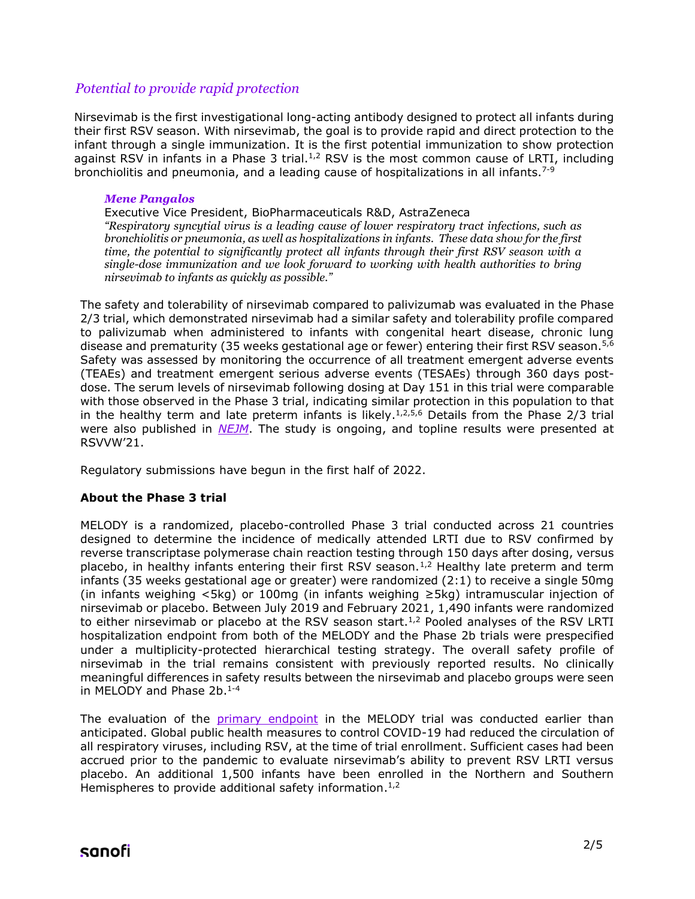## *Potential to provide rapid protection*

Nirsevimab is the first investigational long-acting antibody designed to protect all infants during their first RSV season. With nirsevimab, the goal is to provide rapid and direct protection to the infant through a single immunization. It is the first potential immunization to show protection against RSV in infants in a Phase 3 trial. $1/2$  RSV is the most common cause of LRTI, including bronchiolitis and pneumonia, and a leading cause of hospitalizations in all infants.<sup>7-9</sup>

#### *Mene Pangalos*

Executive Vice President, BioPharmaceuticals R&D, AstraZeneca *"Respiratory syncytial virus is a leading cause of lower respiratory tract infections, such as bronchiolitis or pneumonia, as well as hospitalizations in infants. These data show for the first time, the potential to significantly protect all infants through their first RSV season with a single-dose immunization and we look forward to working with health authorities to bring nirsevimab to infants as quickly as possible."*

The safety and tolerability of nirsevimab compared to palivizumab was evaluated in the Phase 2/3 trial, which demonstrated nirsevimab had a similar safety and tolerability profile compared to palivizumab when administered to infants with congenital heart disease, chronic lung disease and prematurity (35 weeks gestational age or fewer) entering their first RSV season.<sup>5,6</sup> Safety was assessed by monitoring the occurrence of all treatment emergent adverse events (TEAEs) and treatment emergent serious adverse events (TESAEs) through 360 days postdose. The serum levels of nirsevimab following dosing at Day 151 in this trial were comparable with those observed in the Phase 3 trial, indicating similar protection in this population to that in the healthy term and late preterm infants is likely.<sup>1,2,5,6</sup> Details from the Phase 2/3 trial were also published in *[NEJM](https://www.nejm.org/doi/full/10.1056/NEJMc2112186?query=featured_home)*. The study is ongoing, and topline results were presented at RSVVW'21.

Regulatory submissions have begun in the first half of 2022.

#### **About the Phase 3 trial**

MELODY is a randomized, placebo-controlled Phase 3 trial conducted across 21 countries designed to determine the incidence of medically attended LRTI due to RSV confirmed by reverse transcriptase polymerase chain reaction testing through 150 days after dosing, versus placebo, in healthy infants entering their first RSV season.<sup>1,2</sup> Healthy late preterm and term infants (35 weeks gestational age or greater) were randomized (2:1) to receive a single 50mg (in infants weighing <5kg) or 100mg (in infants weighing ≥5kg) intramuscular injection of nirsevimab or placebo. Between July 2019 and February 2021, 1,490 infants were randomized to either nirsevimab or placebo at the RSV season start. $1,2$  Pooled analyses of the RSV LRTI hospitalization endpoint from both of the MELODY and the Phase 2b trials were prespecified under a multiplicity-protected hierarchical testing strategy. The overall safety profile of nirsevimab in the trial remains consistent with previously reported results. No clinically meaningful differences in safety results between the nirsevimab and placebo groups were seen in MELODY and Phase 2b. 1-4

The evaluation of the [primary endpoint](https://www.sanofi.com/en/media-room/press-releases/2021/2021-04-26-08-00-00-2216474) in the MELODY trial was conducted earlier than anticipated. Global public health measures to control COVID-19 had reduced the circulation of all respiratory viruses, including RSV, at the time of trial enrollment. Sufficient cases had been accrued prior to the pandemic to evaluate nirsevimab's ability to prevent RSV LRTI versus placebo. An additional 1,500 infants have been enrolled in the Northern and Southern Hemispheres to provide additional safety information.<sup>1,2</sup>

# sanofi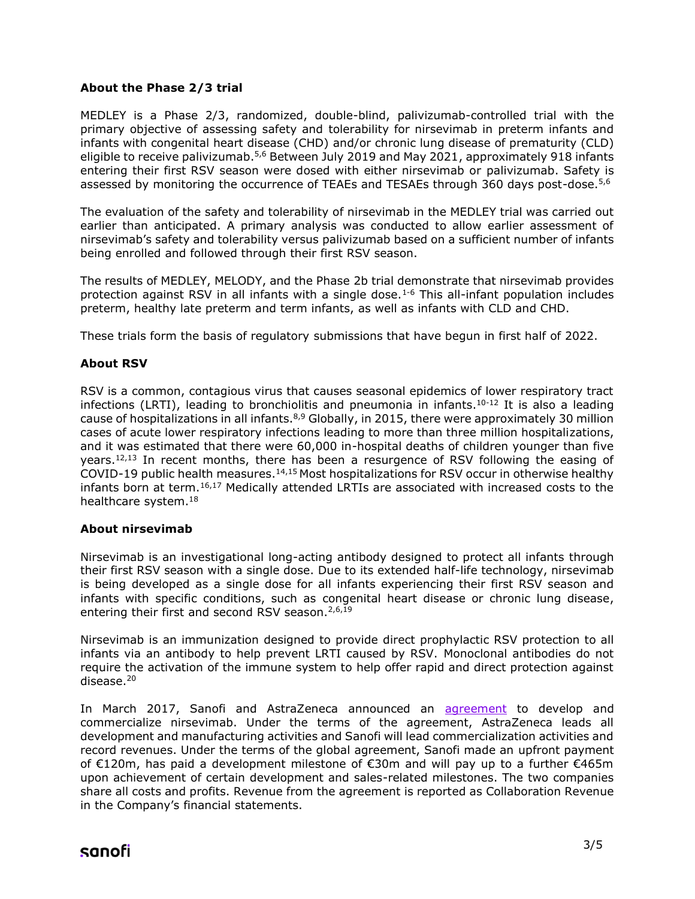### **About the Phase 2/3 trial**

MEDLEY is a Phase 2/3, randomized, double-blind, palivizumab-controlled trial with the primary objective of assessing safety and tolerability for nirsevimab in preterm infants and infants with congenital heart disease (CHD) and/or chronic lung disease of prematurity (CLD) eligible to receive palivizumab.<sup>5,6</sup> Between July 2019 and May 2021, approximately 918 infants entering their first RSV season were dosed with either nirsevimab or palivizumab. Safety is assessed by monitoring the occurrence of TEAEs and TESAEs through 360 days post-dose.<sup>5,6</sup>

The evaluation of the safety and tolerability of nirsevimab in the MEDLEY trial was carried out earlier than anticipated. A primary analysis was conducted to allow earlier assessment of nirsevimab's safety and tolerability versus palivizumab based on a sufficient number of infants being enrolled and followed through their first RSV season.

The results of MEDLEY, MELODY, and the Phase 2b trial demonstrate that nirsevimab provides protection against RSV in all infants with a single dose.<sup>1-6</sup> This all-infant population includes preterm, healthy late preterm and term infants, as well as infants with CLD and CHD.

These trials form the basis of regulatory submissions that have begun in first half of 2022.

#### **About RSV**

RSV is a common, contagious virus that causes seasonal epidemics of lower respiratory tract infections (LRTI), leading to bronchiolitis and pneumonia in infants.<sup>10-12</sup> It is also a leading cause of hospitalizations in all infants.<sup>8,9</sup> Globally, in 2015, there were approximately 30 million cases of acute lower respiratory infections leading to more than three million hospitalizations, and it was estimated that there were 60,000 in-hospital deaths of children younger than five years.<sup>12,13</sup> In recent months, there has been a resurgence of RSV following the easing of COVID-19 public health measures.<sup>14,15</sup> Most hospitalizations for RSV occur in otherwise healthy infants born at term. $16,17$  Medically attended LRTIs are associated with increased costs to the healthcare system.<sup>18</sup>

#### **About nirsevimab**

Nirsevimab is an investigational long-acting antibody designed to protect all infants through their first RSV season with a single dose. Due to its extended half-life technology, nirsevimab is being developed as a single dose for all infants experiencing their first RSV season and infants with specific conditions, such as congenital heart disease or chronic lung disease, entering their first and second RSV season. $2,6,19$ 

Nirsevimab is an immunization designed to provide direct prophylactic RSV protection to all infants via an antibody to help prevent LRTI caused by RSV. Monoclonal antibodies do not require the activation of the immune system to help offer rapid and direct protection against disease.<sup>20</sup>

In March 2017, Sanofi and AstraZeneca announced an [agreement](https://www.sanofi.com/en/media-room/press-releases/2017/2017-03-03-08-00-00) to develop and commercialize nirsevimab. Under the terms of the agreement, AstraZeneca leads all development and manufacturing activities and Sanofi will lead commercialization activities and record revenues. Under the terms of the global agreement, Sanofi made an upfront payment of €120m, has paid a development milestone of €30m and will pay up to a further €465m upon achievement of certain development and sales-related milestones. The two companies share all costs and profits. Revenue from the agreement is reported as Collaboration Revenue in the Company's financial statements.

# sanofi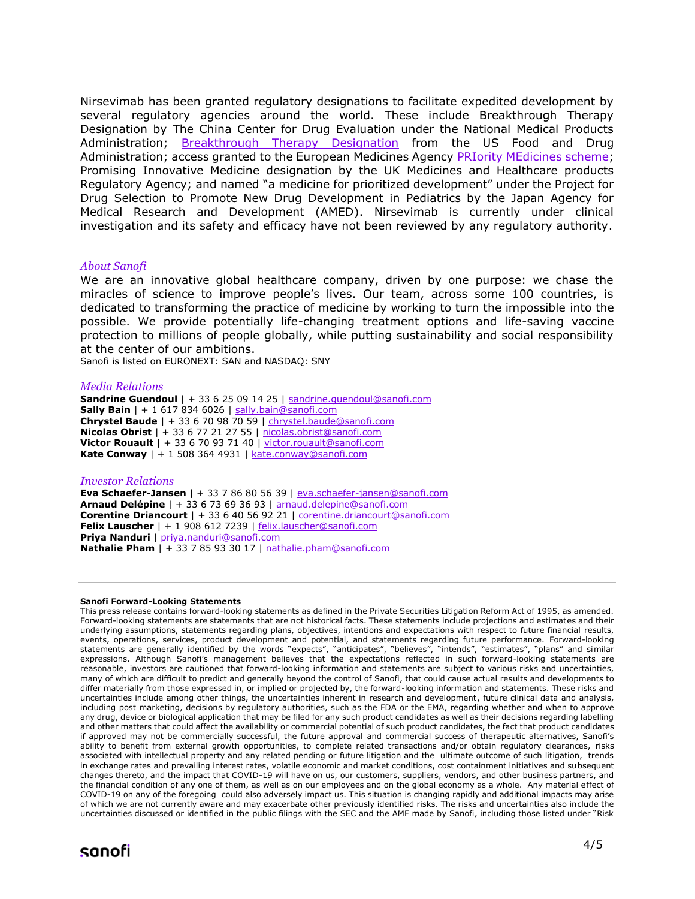Nirsevimab has been granted regulatory designations to facilitate expedited development by several regulatory agencies around the world. These include Breakthrough Therapy Designation by The China Center for Drug Evaluation under the National Medical Products Administration; [Breakthrough Therapy Designation](https://www.astrazeneca.com/media-centre/press-releases/2019/us-fda-grants-breakthrough-therapy-designation-for-potential-next-generation-rsv-medicine-medi8897.html) from the US Food and Drug Administration; access granted to the European Medicines Agency [PRIority MEdicines scheme;](https://www.astrazeneca.com/media-centre/press-releases/2019/ema-grants-prime-eligibility-for-potential-next-generation-rsv-medicine-medi8897-05022019.html) Promising Innovative Medicine designation by the UK Medicines and Healthcare products Regulatory Agency; and named "a medicine for prioritized development" under the Project for Drug Selection to Promote New Drug Development in Pediatrics by the Japan Agency for Medical Research and Development (AMED). Nirsevimab is currently under clinical investigation and its safety and efficacy have not been reviewed by any regulatory authority.

#### *About Sanofi*

We are an innovative global healthcare company, driven by one purpose: we chase the miracles of science to improve people's lives. Our team, across some 100 countries, is dedicated to transforming the practice of medicine by working to turn the impossible into the possible. We provide potentially life-changing treatment options and life-saving vaccine protection to millions of people globally, while putting sustainability and social responsibility at the center of our ambitions.

Sanofi is listed on EURONEXT: SAN and NASDAQ: SNY

#### *Media Relations*

**Sandrine Guendoul** | + 33 6 25 09 14 25 | sandrine.quendoul@sanofi.com **Sally Bain** | + 1 617 834 6026 | [sally.bain@sanofi.com](mailto:sally.bain@sanofi.com) **Chrystel Baude** | + 33 6 70 98 70 59 | [chrystel.baude@sanofi.com](mailto:chrystel.baude@sanofi.com) **Nicolas Obrist** | + 33 6 77 21 27 55 | [nicolas.obrist@sanofi.com](mailto:nicolas.obrist@sanofi.com) **Victor Rouault** | + 33 6 70 93 71 40 | [victor.rouault@sanofi.com](mailto:victor.rouault@sanofi.com) **Kate Conway** | + 1 508 364 4931 | [kate.conway@sanofi.com](mailto:kate.conway@sanofi.com)

#### *Investor Relations*

**Eva Schaefer-Jansen** | + 33 7 86 80 56 39 | [eva.schaefer-jansen@sanofi.com](mailto:eva.schaefer-jansen@sanofi.com) **Arnaud Delépine** | + 33 6 73 69 36 93 | [arnaud.delepine@sanofi.com](mailto:arnaud.delepine@sanofi.com) **Corentine Driancourt** | + 33 6 40 56 92 21 | [corentine.driancourt@sanofi.com](mailto:corentine.driancourt@sanofi.com) **Felix Lauscher** | + 1 908 612 7239 [| felix.lauscher@sanofi.com](mailto:felix.lauscher@sanofi.com) **Priya Nanduri** | [priya.nanduri@sanofi.com](mailto:priya.nanduri@sanofi.com) **Nathalie Pham** | + 33 7 85 93 30 17 | [nathalie.pham@sanofi.com](mailto:nathalie.pham@sanofi.com)

#### **Sanofi Forward-Looking Statements**

This press release contains forward-looking statements as defined in the Private Securities Litigation Reform Act of 1995, as amended. Forward-looking statements are statements that are not historical facts. These statements include projections and estimates and their underlying assumptions, statements regarding plans, objectives, intentions and expectations with respect to future financial results, events, operations, services, product development and potential, and statements regarding future performance. Forward-looking statements are generally identified by the words "expects", "anticipates", "believes", "intends", "estimates", "plans" and similar expressions. Although Sanofi's management believes that the expectations reflected in such forward-looking statements are reasonable, investors are cautioned that forward-looking information and statements are subject to various risks and uncertainties, many of which are difficult to predict and generally beyond the control of Sanofi, that could cause actual results and developments to differ materially from those expressed in, or implied or projected by, the forward-looking information and statements. These risks and uncertainties include among other things, the uncertainties inherent in research and development, future clinical data and analysis, including post marketing, decisions by regulatory authorities, such as the FDA or the EMA, regarding whether and when to approve any drug, device or biological application that may be filed for any such product candidates as well as their decisions regarding labelling and other matters that could affect the availability or commercial potential of such product candidates, the fact that product candidates if approved may not be commercially successful, the future approval and commercial success of therapeutic alternatives, Sanofi's ability to benefit from external growth opportunities, to complete related transactions and/or obtain regulatory clearances, risks associated with intellectual property and any related pending or future litigation and the ultimate outcome of such litigation, trends in exchange rates and prevailing interest rates, volatile economic and market conditions, cost containment initiatives and subsequent changes thereto, and the impact that COVID-19 will have on us, our customers, suppliers, vendors, and other business partners, and the financial condition of any one of them, as well as on our employees and on the global economy as a whole. Any material effect of COVID-19 on any of the foregoing could also adversely impact us. This situation is changing rapidly and additional impacts may arise of which we are not currently aware and may exacerbate other previously identified risks. The risks and uncertainties also include the uncertainties discussed or identified in the public filings with the SEC and the AMF made by Sanofi, including those listed under "Risk